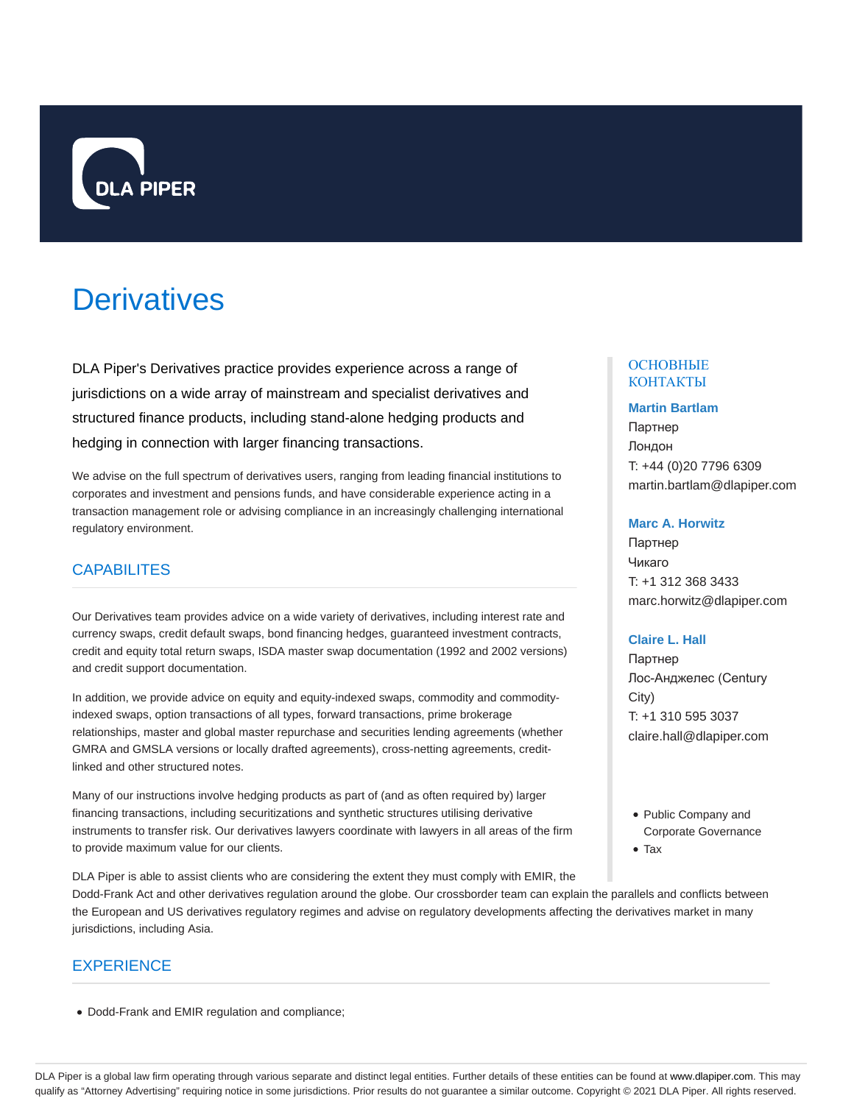

# **Derivatives**

DLA Piper's Derivatives practice provides experience across a range of jurisdictions on a wide array of mainstream and specialist derivatives and structured finance products, including stand-alone hedging products and hedging in connection with larger financing transactions.

We advise on the full spectrum of derivatives users, ranging from leading financial institutions to corporates and investment and pensions funds, and have considerable experience acting in a transaction management role or advising compliance in an increasingly challenging international regulatory environment.

## **CAPABILITES**

Our Derivatives team provides advice on a wide variety of derivatives, including interest rate and currency swaps, credit default swaps, bond financing hedges, guaranteed investment contracts, credit and equity total return swaps, ISDA master swap documentation (1992 and 2002 versions) and credit support documentation.

In addition, we provide advice on equity and equity-indexed swaps, commodity and commodityindexed swaps, option transactions of all types, forward transactions, prime brokerage relationships, master and global master repurchase and securities lending agreements (whether GMRA and GMSLA versions or locally drafted agreements), cross-netting agreements, creditlinked and other structured notes.

Many of our instructions involve hedging products as part of (and as often required by) larger financing transactions, including securitizations and synthetic structures utilising derivative instruments to transfer risk. Our derivatives lawyers coordinate with lawyers in all areas of the firm to provide maximum value for our clients.

### ОСНОВНЫЕ КОНТАКТЫ

#### **Martin Bartlam**

Партнер Лондон T: +44 (0)20 7796 6309 martin.bartlam@dlapiper.com

#### **Marc A. Horwitz**

Партнер Чикаго T: +1 312 368 3433 marc.horwitz@dlapiper.com

#### **Claire L. Hall**

Партнер Лос-Анджелес (Century City) T: +1 310 595 3037 claire.hall@dlapiper.com

- Public Company and Corporate Governance
- Tax

DLA Piper is able to assist clients who are considering the extent they must comply with EMIR, the Dodd-Frank Act and other derivatives regulation around the globe. Our crossborder team can explain the parallels and conflicts between the European and US derivatives regulatory regimes and advise on regulatory developments affecting the derivatives market in many jurisdictions, including Asia.

## **EXPERIENCE**

Dodd-Frank and EMIR regulation and compliance;

DLA Piper is a global law firm operating through various separate and distinct legal entities. Further details of these entities can be found at www.dlapiper.com. This may qualify as "Attorney Advertising" requiring notice in some jurisdictions. Prior results do not guarantee a similar outcome. Copyright @ 2021 DLA Piper. All rights reserved.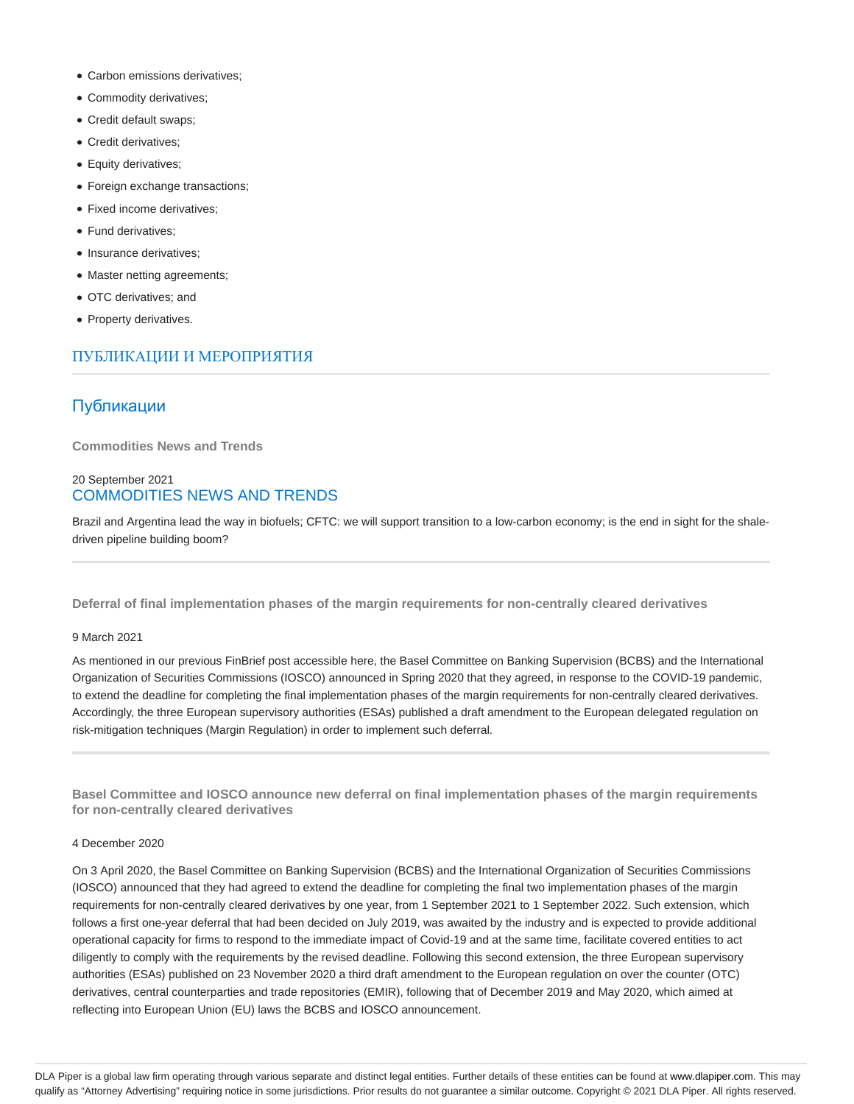- Carbon emissions derivatives;
- Commodity derivatives;
- Credit default swaps;
- Credit derivatives;
- Equity derivatives;
- Foreign exchange transactions;
- Fixed income derivatives;
- Fund derivatives;
- Insurance derivatives;
- Master netting agreements;
- OTC derivatives; and
- Property derivatives.

## ПУБЛИКАЦИИ И МЕРОПРИЯТИЯ

## Публикации

**Commodities News and Trends**

## 20 September 2021 COMMODITIES NEWS AND TRENDS

Brazil and Argentina lead the way in biofuels; CFTC: we will support transition to a low-carbon economy; is the end in sight for the shaledriven pipeline building boom?

**Deferral of final implementation phases of the margin requirements for non-centrally cleared derivatives**

#### 9 March 2021

As mentioned in our previous FinBrief post accessible here, the Basel Committee on Banking Supervision (BCBS) and the International Organization of Securities Commissions (IOSCO) announced in Spring 2020 that they agreed, in response to the COVID-19 pandemic, to extend the deadline for completing the final implementation phases of the margin requirements for non-centrally cleared derivatives. Accordingly, the three European supervisory authorities (ESAs) published a draft amendment to the European delegated regulation on risk-mitigation techniques (Margin Regulation) in order to implement such deferral.

**Basel Committee and IOSCO announce new deferral on final implementation phases of the margin requirements for non-centrally cleared derivatives**

#### 4 December 2020

On 3 April 2020, the Basel Committee on Banking Supervision (BCBS) and the International Organization of Securities Commissions (IOSCO) announced that they had agreed to extend the deadline for completing the final two implementation phases of the margin requirements for non-centrally cleared derivatives by one year, from 1 September 2021 to 1 September 2022. Such extension, which follows a first one-year deferral that had been decided on July 2019, was awaited by the industry and is expected to provide additional operational capacity for firms to respond to the immediate impact of Covid-19 and at the same time, facilitate covered entities to act diligently to comply with the requirements by the revised deadline. Following this second extension, the three European supervisory authorities (ESAs) published on 23 November 2020 a third draft amendment to the European regulation on over the counter (OTC) derivatives, central counterparties and trade repositories (EMIR), following that of December 2019 and May 2020, which aimed at reflecting into European Union (EU) laws the BCBS and IOSCO announcement.

DLA Piper is a global law firm operating through various separate and distinct legal entities. Further details of these entities can be found at www.dlapiper.com. This may qualify as "Attorney Advertising" requiring notice in some jurisdictions. Prior results do not guarantee a similar outcome. Copyright @ 2021 DLA Piper. All rights reserved.